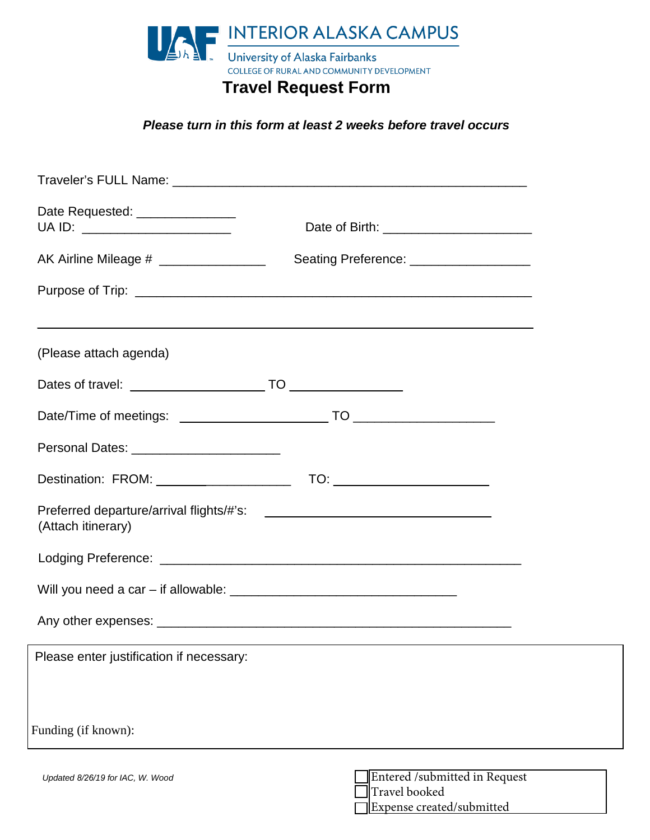

## **Travel Request Form**

*Please turn in this form at least 2 weeks before travel occurs*

| Date Requested: _______________<br>UA ID: _______________________ | Date of Birth: ___________________________     |  |
|-------------------------------------------------------------------|------------------------------------------------|--|
| AK Airline Mileage # ________________                             | Seating Preference: ____________________       |  |
|                                                                   |                                                |  |
|                                                                   |                                                |  |
| (Please attach agenda)                                            |                                                |  |
|                                                                   |                                                |  |
|                                                                   |                                                |  |
|                                                                   |                                                |  |
|                                                                   |                                                |  |
| (Attach itinerary)                                                |                                                |  |
|                                                                   |                                                |  |
|                                                                   |                                                |  |
|                                                                   |                                                |  |
| Please enter justification if necessary:                          |                                                |  |
|                                                                   |                                                |  |
| Funding (if known):                                               |                                                |  |
| Updated 8/26/19 for IAC, W. Wood                                  | Entered /submitted in Request<br>Travel booked |  |

Expense created/submitted